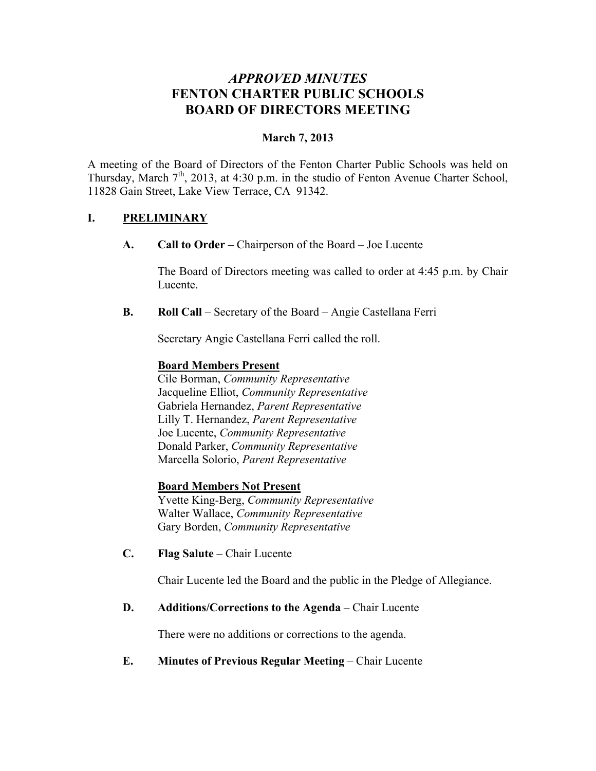# *APPROVED MINUTES* **FENTON CHARTER PUBLIC SCHOOLS BOARD OF DIRECTORS MEETING**

### **March 7, 2013**

A meeting of the Board of Directors of the Fenton Charter Public Schools was held on Thursday, March  $7<sup>th</sup>$ , 2013, at 4:30 p.m. in the studio of Fenton Avenue Charter School, 11828 Gain Street, Lake View Terrace, CA 91342.

### **I. PRELIMINARY**

**A. Call to Order –** Chairperson of the Board – Joe Lucente

The Board of Directors meeting was called to order at 4:45 p.m. by Chair Lucente.

**B. Roll Call** – Secretary of the Board – Angie Castellana Ferri

Secretary Angie Castellana Ferri called the roll.

#### **Board Members Present**

Cile Borman, *Community Representative* Jacqueline Elliot, *Community Representative* Gabriela Hernandez, *Parent Representative* Lilly T. Hernandez, *Parent Representative* Joe Lucente, *Community Representative* Donald Parker, *Community Representative* Marcella Solorio, *Parent Representative*

#### **Board Members Not Present**

Yvette King-Berg, *Community Representative* Walter Wallace, *Community Representative* Gary Borden, *Community Representative*

**C. Flag Salute** – Chair Lucente

Chair Lucente led the Board and the public in the Pledge of Allegiance.

### **D. Additions/Corrections to the Agenda** – Chair Lucente

There were no additions or corrections to the agenda.

### **E. Minutes of Previous Regular Meeting – Chair Lucente**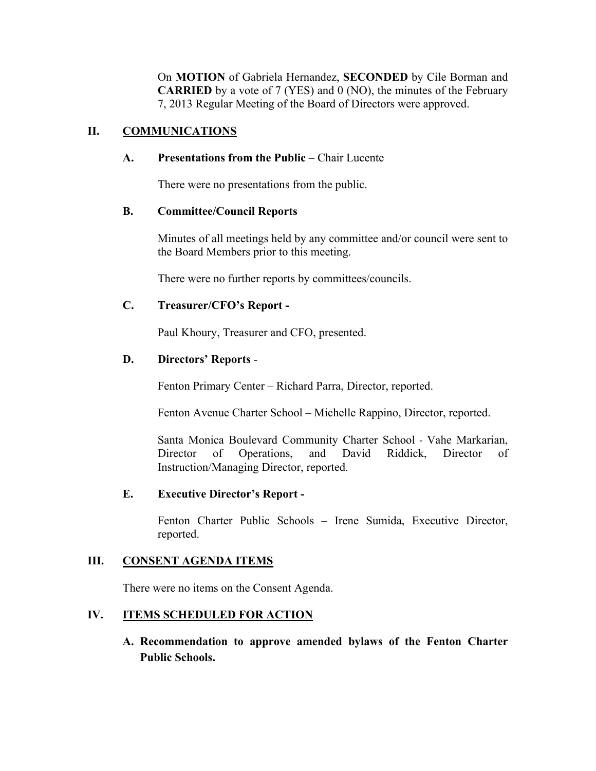On **MOTION** of Gabriela Hernandez, **SECONDED** by Cile Borman and **CARRIED** by a vote of 7 (YES) and 0 (NO), the minutes of the February 7, 2013 Regular Meeting of the Board of Directors were approved.

### **II. COMMUNICATIONS**

#### **A. Presentations from the Public** – Chair Lucente

There were no presentations from the public.

#### **B. Committee/Council Reports**

Minutes of all meetings held by any committee and/or council were sent to the Board Members prior to this meeting.

There were no further reports by committees/councils.

### **C. Treasurer/CFO's Report -**

Paul Khoury, Treasurer and CFO, presented.

### **D. Directors' Reports** -

Fenton Primary Center – Richard Parra, Director, reported.

Fenton Avenue Charter School – Michelle Rappino, Director, reported.

Santa Monica Boulevard Community Charter School - Vahe Markarian, Director of Operations, and David Riddick, Director of Instruction/Managing Director, reported.

### **E. Executive Director's Report -**

Fenton Charter Public Schools – Irene Sumida, Executive Director, reported.

### **III. CONSENT AGENDA ITEMS**

There were no items on the Consent Agenda.

### **IV. ITEMS SCHEDULED FOR ACTION**

**A. Recommendation to approve amended bylaws of the Fenton Charter Public Schools.**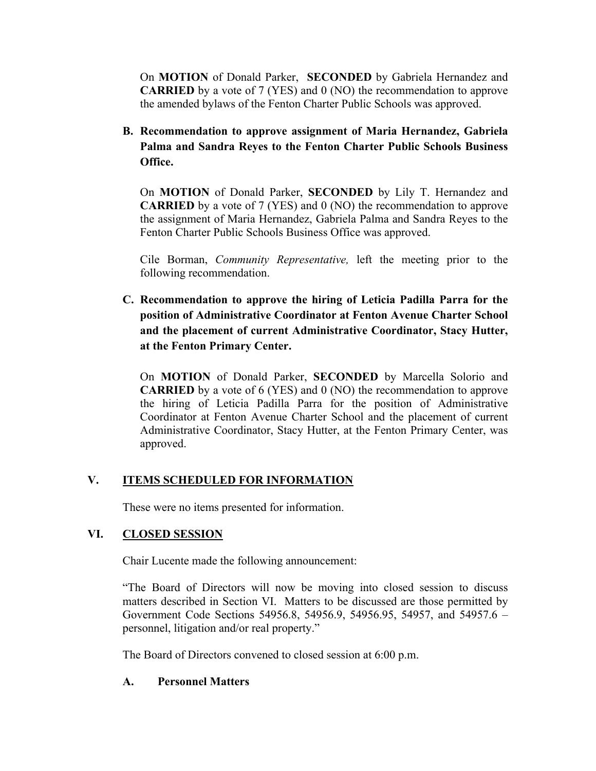On **MOTION** of Donald Parker, **SECONDED** by Gabriela Hernandez and **CARRIED** by a vote of 7 (YES) and 0 (NO) the recommendation to approve the amended bylaws of the Fenton Charter Public Schools was approved.

**B. Recommendation to approve assignment of Maria Hernandez, Gabriela Palma and Sandra Reyes to the Fenton Charter Public Schools Business Office.**

On **MOTION** of Donald Parker, **SECONDED** by Lily T. Hernandez and **CARRIED** by a vote of 7 (YES) and 0 (NO) the recommendation to approve the assignment of Maria Hernandez, Gabriela Palma and Sandra Reyes to the Fenton Charter Public Schools Business Office was approved.

Cile Borman, *Community Representative,* left the meeting prior to the following recommendation.

**C. Recommendation to approve the hiring of Leticia Padilla Parra for the position of Administrative Coordinator at Fenton Avenue Charter School and the placement of current Administrative Coordinator, Stacy Hutter, at the Fenton Primary Center.**

On **MOTION** of Donald Parker, **SECONDED** by Marcella Solorio and **CARRIED** by a vote of 6 (YES) and 0 (NO) the recommendation to approve the hiring of Leticia Padilla Parra for the position of Administrative Coordinator at Fenton Avenue Charter School and the placement of current Administrative Coordinator, Stacy Hutter, at the Fenton Primary Center, was approved.

## **V. ITEMS SCHEDULED FOR INFORMATION**

These were no items presented for information.

### **VI. CLOSED SESSION**

Chair Lucente made the following announcement:

"The Board of Directors will now be moving into closed session to discuss matters described in Section VI. Matters to be discussed are those permitted by Government Code Sections 54956.8, 54956.9, 54956.95, 54957, and 54957.6 – personnel, litigation and/or real property."

The Board of Directors convened to closed session at 6:00 p.m.

#### **A. Personnel Matters**